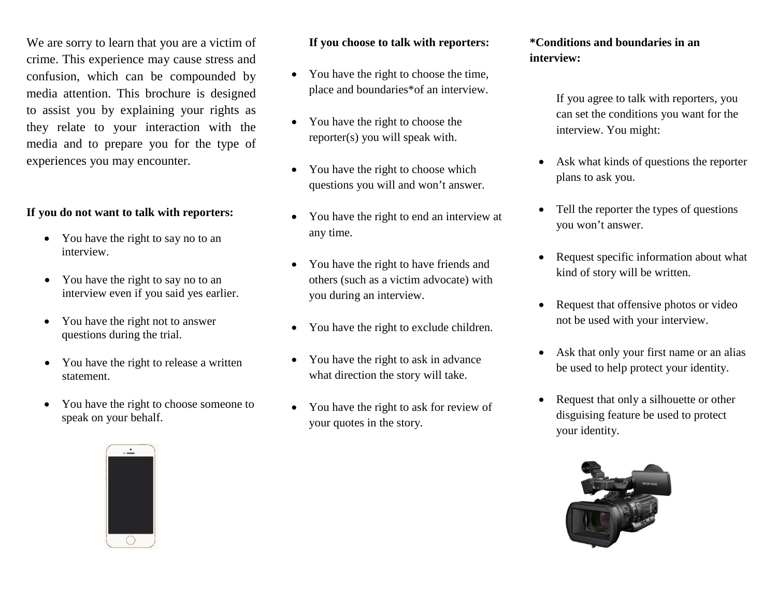We are sorry to learn that you are a victim of crime. This experience may cause stress and confusion, which can be compounded by media attention. This brochure is designed to assist you by explaining your rights as they relate to your interaction with the media and to prepare you for the type of experiences you may encounter.

### **If you do not want to talk with reporters:**

- You have the right to say no to an interview.
- You have the right to say no to an interview even if you said yes earlier.
- You have the right not to answer questions during the trial.
- You have the right to release a written statement.
- You have the right to choose someone to speak on your behalf.

#### **If you choose to talk with reporters:**

- You have the right to choose the time, place and boundaries\*of an interview.
- You have the right to choose the reporter(s) you will speak with.
- You have the right to choose which questions you will and won't answer.
- You have the right to end an interview at any time.
- You have the right to have friends and others (such as a victim advocate) with you during an interview.
- You have the right to exclude children.
- You have the right to ask in advance what direction the story will take.
- You have the right to ask for review of your quotes in the story.

#### **\*Conditions and boundaries in an interview:**

If you agree to talk with reporters, you can set the conditions you want for the interview. You might:

- Ask what kinds of questions the reporter plans to ask you.
- Tell the reporter the types of questions you won't answer.
- Request specific information about what kind of story will be written.
- Request that offensive photos or video not be used with your interview.
- Ask that only your first name or an alias be used to help protect your identity.
- Request that only a silhouette or other disguising feature be used to protect your identity.